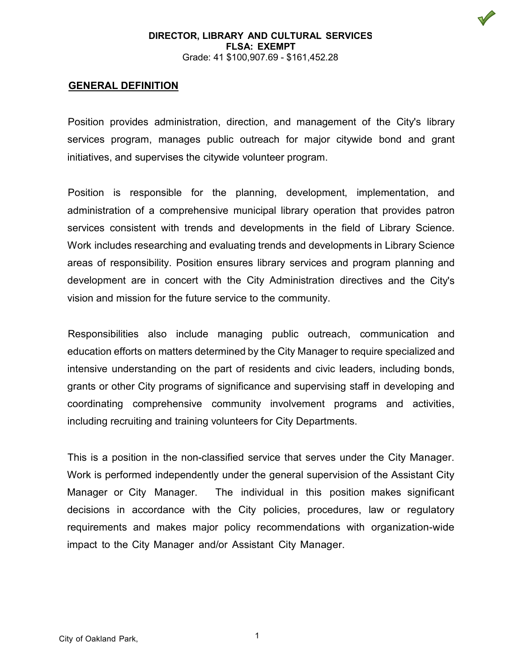# **GENERAL DEFINITION**

Position provides administration, direction, and management of the City's library services program, manages public outreach for major citywide bond and grant initiatives, and supervises the citywide volunteer program.

Position is responsible for the planning, development, implementation, and administration of a comprehensive municipal library operation that provides patron services consistent with trends and developments in the field of Library Science. Work includes researching and evaluating trends and developments in Library Science areas of responsibility. Position ensures library services and program planning and development are in concert with the City Administration directives and the City's vision and mission for the future service to the community.

Responsibilities also include managing public outreach, communication and education efforts on matters determined by the City Manager to require specialized and intensive understanding on the part of residents and civic leaders, including bonds, grants or other City programs of significance and supervising staff in developing and coordinating comprehensive community involvement programs and activities, including recruiting and training volunteers for City Departments.

This is a position in the non-classified service that serves under the City Manager. Work is performed independently under the general supervision of the Assistant City Manager or City Manager. The individual in this position makes significant decisions in accordance with the City policies, procedures, law or regulatory requirements and makes major policy recommendations with organization-wide impact to the City Manager and/or Assistant City Manager.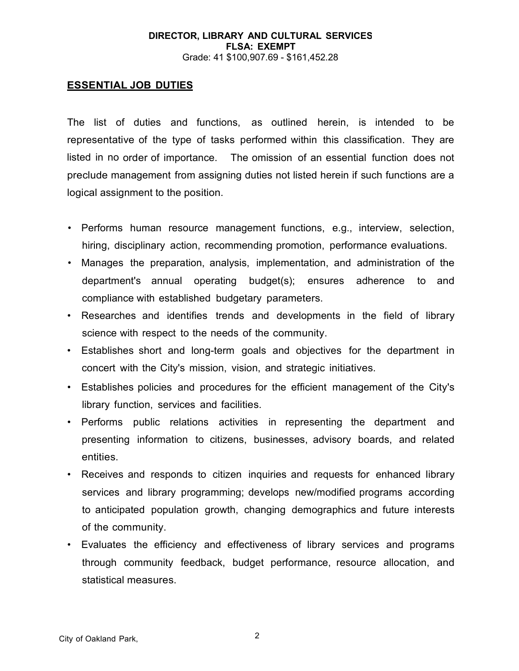# **ESSENTIAL JOB DUTIES**

The list of duties and functions, as outlined herein, is intended to be representative of the type of tasks performed within this classification. They are listed in no order of importance. The omission of an essential function does not preclude management from assigning duties not listed herein if such functions are a logical assignment to the position.

- Performs human resource management functions, e.g., interview, selection, hiring, disciplinary action, recommending promotion, performance evaluations.
- Manages the preparation, analysis, implementation, and administration of the department's annual operating budget(s); ensures adherence to and compliance with established budgetary parameters.
- Researches and identifies trends and developments in the field of library science with respect to the needs of the community.
- Establishes short and long-term goals and objectives for the department in concert with the City's mission, vision, and strategic initiatives.
- Establishes policies and procedures for the efficient management of the City's library function, services and facilities.
- Performs public relations activities in representing the department and presenting information to citizens, businesses, advisory boards, and related entities.
- Receives and responds to citizen inquiries and requests for enhanced library services and library programming; develops new/modified programs according to anticipated population growth, changing demographics and future interests of the community.
- Evaluates the efficiency and effectiveness of library services and programs through community feedback, budget performance, resource allocation, and statistical measures.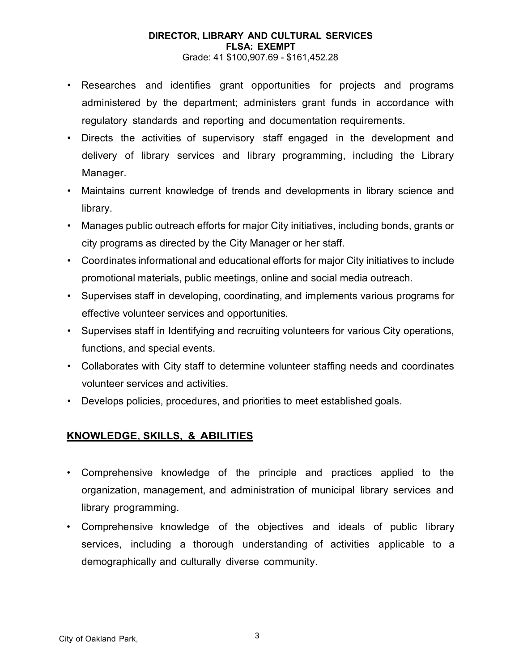# **DIRECTOR, LIBRARY AND CULTURAL SERVICES FLSA: EXEMPT**

Grade: 41 \$100,907.69 - \$161,452.28

- Researches and identifies grant opportunities for projects and programs administered by the department; administers grant funds in accordance with regulatory standards and reporting and documentation requirements.
- Directs the activities of supervisory staff engaged in the development and delivery of library services and library programming, including the Library Manager.
- Maintains current knowledge of trends and developments in library science and library.
- Manages public outreach efforts for major City initiatives, including bonds, grants or city programs as directed by the City Manager or her staff.
- Coordinates informational and educational efforts for major City initiatives to include promotional materials, public meetings, online and social media outreach.
- Supervises staff in developing, coordinating, and implements various programs for effective volunteer services and opportunities.
- Supervises staff in Identifying and recruiting volunteers for various City operations, functions, and special events.
- Collaborates with City staff to determine volunteer staffing needs and coordinates volunteer services and activities.
- Develops policies, procedures, and priorities to meet established goals.

# **KNOWLEDGE, SKILLS, & ABILITIES**

- Comprehensive knowledge of the principle and practices applied to the organization, management, and administration of municipal library services and library programming.
- Comprehensive knowledge of the objectives and ideals of public library services, including a thorough understanding of activities applicable to a demographically and culturally diverse community.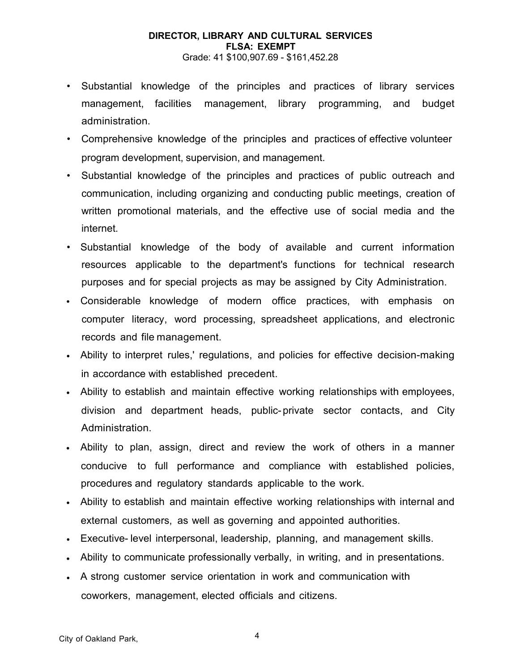- Substantial knowledge of the principles and practices of library services management, facilities management, library programming, and budget administration.
- Comprehensive knowledge of the principles and practices of effective volunteer program development, supervision, and management.
- Substantial knowledge of the principles and practices of public outreach and communication, including organizing and conducting public meetings, creation of written promotional materials, and the effective use of social media and the internet.
- Substantial knowledge of the body of available and current information resources applicable to the department's functions for technical research purposes and for special projects as may be assigned by City Administration.
- Considerable knowledge of modern office practices, with emphasis on computer literacy, word processing, spreadsheet applications, and electronic records and file management.
- Ability to interpret rules,' regulations, and policies for effective decision-making in accordance with established precedent.
- Ability to establish and maintain effective working relationships with employees, division and department heads, public-private sector contacts, and City Administration.
- Ability to plan, assign, direct and review the work of others in a manner conducive to full performance and compliance with established policies, procedures and regulatory standards applicable to the work.
- Ability to establish and maintain effective working relationships with internal and external customers, as well as governing and appointed authorities.
- Executive- level interpersonal, leadership, planning, and management skills.
- Ability to communicate professionally verbally, in writing, and in presentations.
- A strong customer service orientation in work and communication with coworkers, management, elected officials and citizens.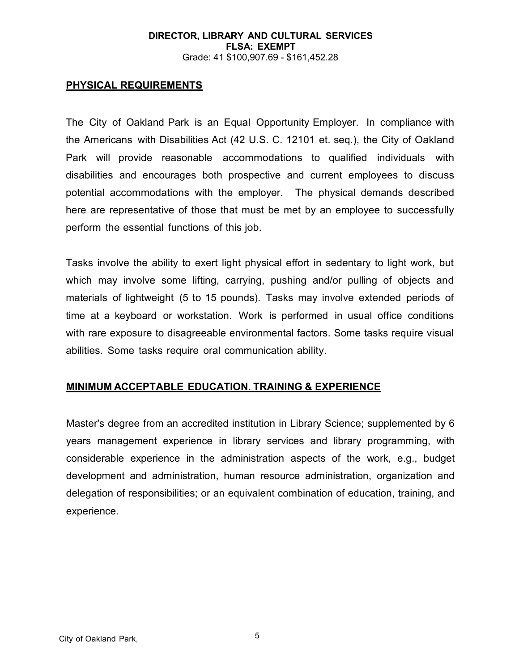# **PHYSICAL REQUIREMENTS**

The City of Oakland Park is an Equal Opportunity Employer. In compliance with the Americans with Disabilities Act (42 U.S. C. 12101 et. seq.), the City of Oakland Park will provide reasonable accommodations to qualified individuals with disabilities and encourages both prospective and current employees to discuss potential accommodations with the employer. The physical demands described here are representative of those that must be met by an employee to successfully perform the essential functions of this job.

Tasks involve the ability to exert light physical effort in sedentary to light work, but which may involve some lifting, carrying, pushing and/or pulling of objects and materials of lightweight (5 to 15 pounds). Tasks may involve extended periods of time at a keyboard or workstation. Work is performed in usual office conditions with rare exposure to disagreeable environmental factors. Some tasks require visual abilities. Some tasks require oral communication ability.

# **MINIMUM ACCEPTABLE EDUCATION. TRAINING & EXPERIENCE**

Master's degree from an accredited institution in Library Science; supplemented by 6 years management experience in library services and library programming, with considerable experience in the administration aspects of the work, e.g., budget development and administration, human resource administration, organization and delegation of responsibilities; or an equivalent combination of education, training, and experience.